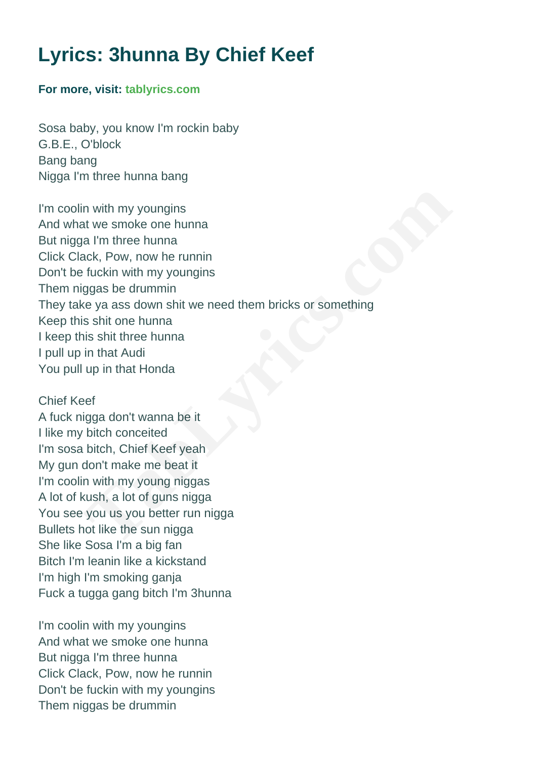## **Lyrics: 3hunna By Chief Keef**

## **For more, visit: [tablyrics.com](https://www.tablyrics.com/3hunna-chords-lyrics-chief-keef)**

Sosa baby, you know I'm rockin baby G.B.E., O'block Bang bang Nigga I'm three hunna bang

I'm coolin with my youngins And what we smoke one hunna But nigga I'm three hunna Click Clack, Pow, now he runnin Don't be fuckin with my youngins Them niggas be drummin They take ya ass down shit we need them bricks or something Keep this shit one hunna I keep this shit three hunna I pull up in that Audi You pull up in that Honda n with my youngins<br>at we smoke one hunna<br>a I'm three hunna<br>ack, Pow, now he runnin<br>fuckin with my youngins<br>ggas be drummin<br>signals of which we need them bricks or something<br>as shit one hunna<br>is shit three hunna<br>in that Aud

## Chief Keef

A fuck nigga don't wanna be it I like my bitch conceited I'm sosa bitch, Chief Keef yeah My gun don't make me beat it I'm coolin with my young niggas A lot of kush, a lot of guns nigga You see you us you better run nigga Bullets hot like the sun nigga She like Sosa I'm a big fan Bitch I'm leanin like a kickstand I'm high I'm smoking ganja Fuck a tugga gang bitch I'm 3hunna

I'm coolin with my youngins And what we smoke one hunna But nigga I'm three hunna Click Clack, Pow, now he runnin Don't be fuckin with my youngins Them niggas be drummin